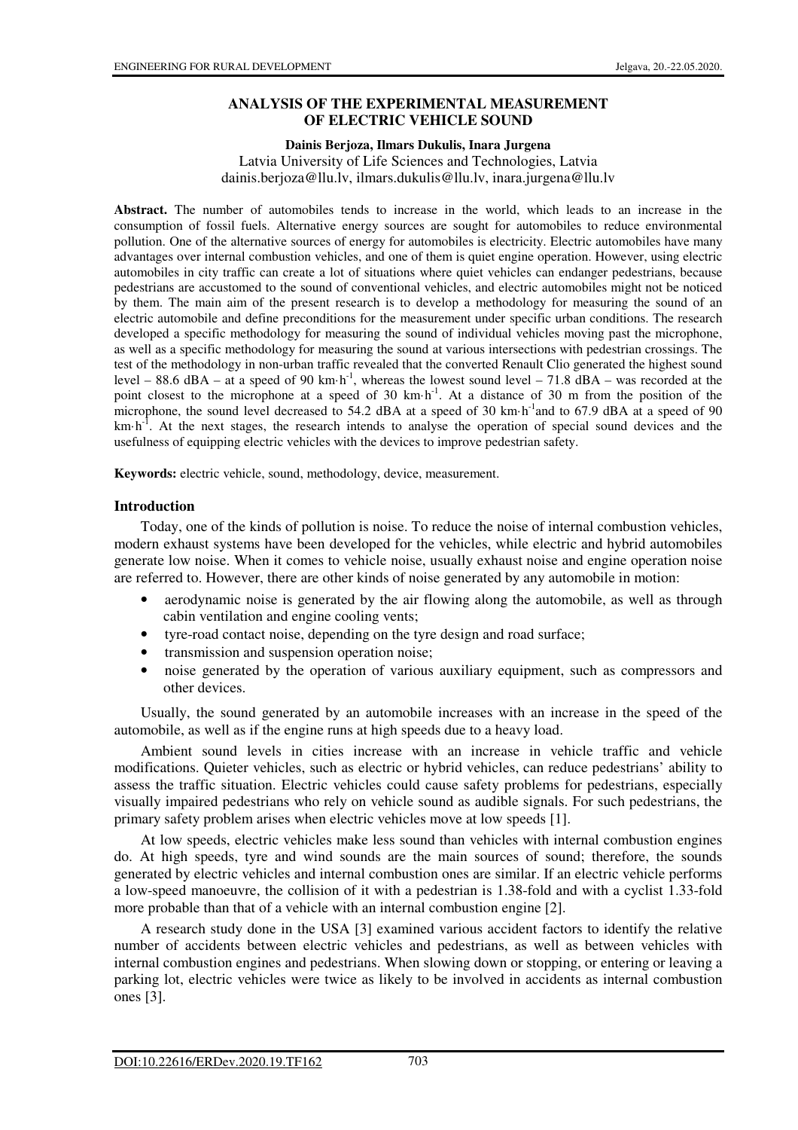### **ANALYSIS OF THE EXPERIMENTAL MEASUREMENT OF ELECTRIC VEHICLE SOUND**

#### **Dainis Berjoza, Ilmars Dukulis, Inara Jurgena**

Latvia University of Life Sciences and Technologies, Latvia dainis.berjoza@llu.lv, ilmars.dukulis@llu.lv, inara.jurgena@llu.lv

**Abstract.** The number of automobiles tends to increase in the world, which leads to an increase in the consumption of fossil fuels. Alternative energy sources are sought for automobiles to reduce environmental pollution. One of the alternative sources of energy for automobiles is electricity. Electric automobiles have many advantages over internal combustion vehicles, and one of them is quiet engine operation. However, using electric automobiles in city traffic can create a lot of situations where quiet vehicles can endanger pedestrians, because pedestrians are accustomed to the sound of conventional vehicles, and electric automobiles might not be noticed by them. The main aim of the present research is to develop a methodology for measuring the sound of an electric automobile and define preconditions for the measurement under specific urban conditions. The research developed a specific methodology for measuring the sound of individual vehicles moving past the microphone, as well as a specific methodology for measuring the sound at various intersections with pedestrian crossings. The test of the methodology in non-urban traffic revealed that the converted Renault Clio generated the highest sound level – 88.6 dBA – at a speed of 90 km·h<sup>-1</sup>, whereas the lowest sound level – 71.8 dBA – was recorded at the point closest to the microphone at a speed of 30 km·h<sup>-1</sup>. At a distance of 30 m from the position of the microphone, the sound level decreased to 54.2 dBA at a speed of 30 km·h<sup>-1</sup>and to 67.9 dBA at a speed of 90  $km\text{-}h^{-1}$ . At the next stages, the research intends to analyse the operation of special sound devices and the usefulness of equipping electric vehicles with the devices to improve pedestrian safety.

**Keywords:** electric vehicle, sound, methodology, device, measurement.

### **Introduction**

Today, one of the kinds of pollution is noise. To reduce the noise of internal combustion vehicles, modern exhaust systems have been developed for the vehicles, while electric and hybrid automobiles generate low noise. When it comes to vehicle noise, usually exhaust noise and engine operation noise are referred to. However, there are other kinds of noise generated by any automobile in motion:

- aerodynamic noise is generated by the air flowing along the automobile, as well as through cabin ventilation and engine cooling vents;
- tyre-road contact noise, depending on the tyre design and road surface;
- transmission and suspension operation noise;
- noise generated by the operation of various auxiliary equipment, such as compressors and other devices.

Usually, the sound generated by an automobile increases with an increase in the speed of the automobile, as well as if the engine runs at high speeds due to a heavy load.

Ambient sound levels in cities increase with an increase in vehicle traffic and vehicle modifications. Quieter vehicles, such as electric or hybrid vehicles, can reduce pedestrians' ability to assess the traffic situation. Electric vehicles could cause safety problems for pedestrians, especially visually impaired pedestrians who rely on vehicle sound as audible signals. For such pedestrians, the primary safety problem arises when electric vehicles move at low speeds [1].

At low speeds, electric vehicles make less sound than vehicles with internal combustion engines do. At high speeds, tyre and wind sounds are the main sources of sound; therefore, the sounds generated by electric vehicles and internal combustion ones are similar. If an electric vehicle performs a low-speed manoeuvre, the collision of it with a pedestrian is 1.38-fold and with a cyclist 1.33-fold more probable than that of a vehicle with an internal combustion engine [2].

A research study done in the USA [3] examined various accident factors to identify the relative number of accidents between electric vehicles and pedestrians, as well as between vehicles with internal combustion engines and pedestrians. When slowing down or stopping, or entering or leaving a parking lot, electric vehicles were twice as likely to be involved in accidents as internal combustion ones [3].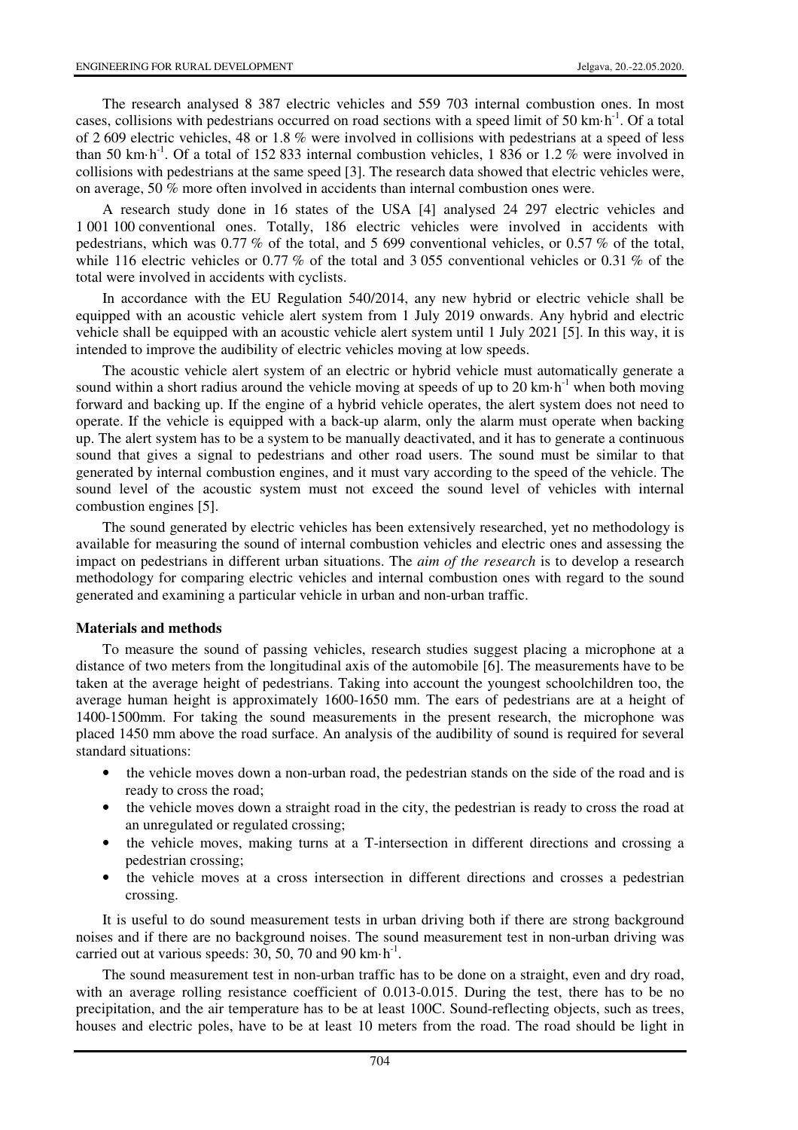The research analysed 8 387 electric vehicles and 559 703 internal combustion ones. In most cases, collisions with pedestrians occurred on road sections with a speed limit of 50 km·h<sup>-1</sup>. Of a total of 2 609 electric vehicles, 48 or 1.8 % were involved in collisions with pedestrians at a speed of less than 50 km·h<sup>-1</sup>. Of a total of 152 833 internal combustion vehicles, 1 836 or 1.2 % were involved in collisions with pedestrians at the same speed [3]. The research data showed that electric vehicles were, on average, 50 % more often involved in accidents than internal combustion ones were.

A research study done in 16 states of the USA [4] analysed 24 297 electric vehicles and 1 001 100 conventional ones. Totally, 186 electric vehicles were involved in accidents with pedestrians, which was 0.77 % of the total, and 5 699 conventional vehicles, or 0.57 % of the total, while 116 electric vehicles or 0.77 % of the total and 3 055 conventional vehicles or 0.31 % of the total were involved in accidents with cyclists.

In accordance with the EU Regulation 540/2014, any new hybrid or electric vehicle shall be equipped with an acoustic vehicle alert system from 1 July 2019 onwards. Any hybrid and electric vehicle shall be equipped with an acoustic vehicle alert system until 1 July 2021 [5]. In this way, it is intended to improve the audibility of electric vehicles moving at low speeds.

The acoustic vehicle alert system of an electric or hybrid vehicle must automatically generate a sound within a short radius around the vehicle moving at speeds of up to 20 km $\cdot$ h<sup>-1</sup> when both moving forward and backing up. If the engine of a hybrid vehicle operates, the alert system does not need to operate. If the vehicle is equipped with a back-up alarm, only the alarm must operate when backing up. The alert system has to be a system to be manually deactivated, and it has to generate a continuous sound that gives a signal to pedestrians and other road users. The sound must be similar to that generated by internal combustion engines, and it must vary according to the speed of the vehicle. The sound level of the acoustic system must not exceed the sound level of vehicles with internal combustion engines [5].

The sound generated by electric vehicles has been extensively researched, yet no methodology is available for measuring the sound of internal combustion vehicles and electric ones and assessing the impact on pedestrians in different urban situations. The *aim of the research* is to develop a research methodology for comparing electric vehicles and internal combustion ones with regard to the sound generated and examining a particular vehicle in urban and non-urban traffic.

### **Materials and methods**

To measure the sound of passing vehicles, research studies suggest placing a microphone at a distance of two meters from the longitudinal axis of the automobile [6]. The measurements have to be taken at the average height of pedestrians. Taking into account the youngest schoolchildren too, the average human height is approximately 1600-1650 mm. The ears of pedestrians are at a height of 1400-1500mm. For taking the sound measurements in the present research, the microphone was placed 1450 mm above the road surface. An analysis of the audibility of sound is required for several standard situations:

- the vehicle moves down a non-urban road, the pedestrian stands on the side of the road and is ready to cross the road;
- the vehicle moves down a straight road in the city, the pedestrian is ready to cross the road at an unregulated or regulated crossing;
- the vehicle moves, making turns at a T-intersection in different directions and crossing a pedestrian crossing;
- the vehicle moves at a cross intersection in different directions and crosses a pedestrian crossing.

It is useful to do sound measurement tests in urban driving both if there are strong background noises and if there are no background noises. The sound measurement test in non-urban driving was carried out at various speeds: 30, 50, 70 and 90 km $\cdot$ h<sup>-1</sup>.

The sound measurement test in non-urban traffic has to be done on a straight, even and dry road, with an average rolling resistance coefficient of 0.013-0.015. During the test, there has to be no precipitation, and the air temperature has to be at least 100C. Sound-reflecting objects, such as trees, houses and electric poles, have to be at least 10 meters from the road. The road should be light in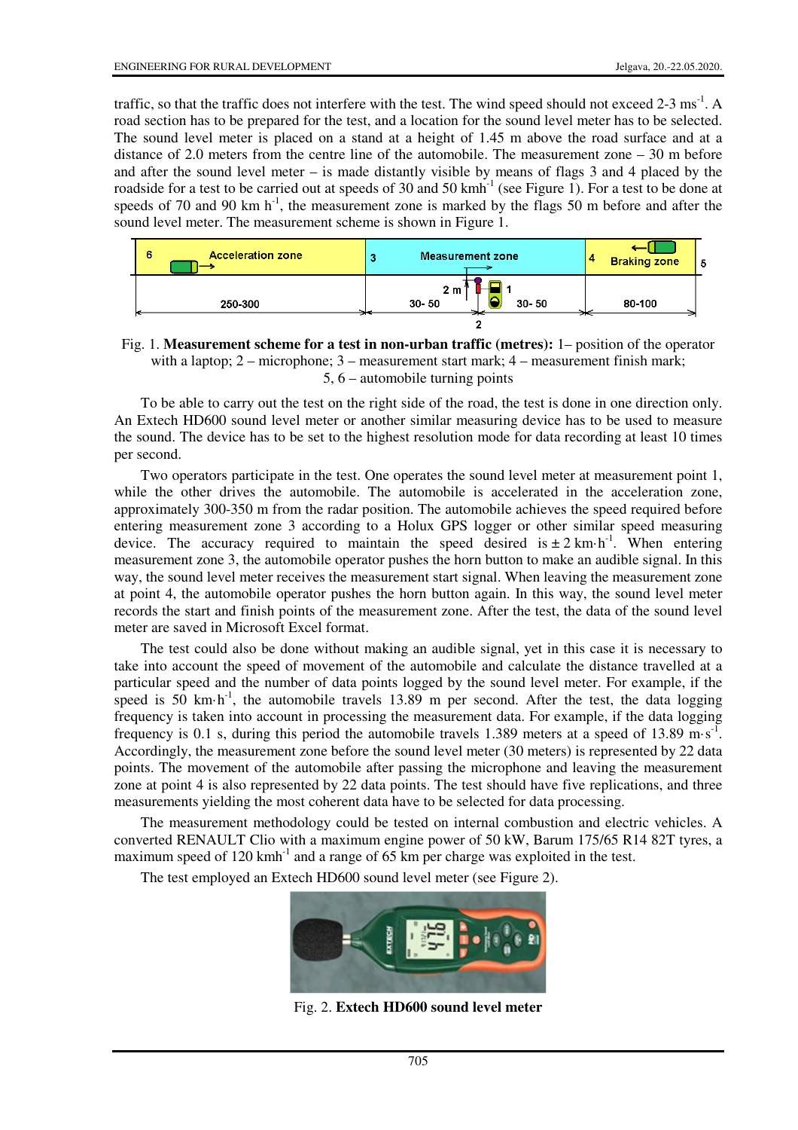traffic, so that the traffic does not interfere with the test. The wind speed should not exceed  $2-3 \text{ ms}^{-1}$ . A road section has to be prepared for the test, and a location for the sound level meter has to be selected. The sound level meter is placed on a stand at a height of 1.45 m above the road surface and at a distance of 2.0 meters from the centre line of the automobile. The measurement zone – 30 m before and after the sound level meter – is made distantly visible by means of flags 3 and 4 placed by the roadside for a test to be carried out at speeds of 30 and 50 kmh<sup>-1</sup> (see Figure 1). For a test to be done at speeds of 70 and 90 km  $h^{-1}$ , the measurement zone is marked by the flags 50 m before and after the sound level meter. The measurement scheme is shown in Figure 1.

| <b>Acceleration zone</b><br>6 | <b>Measurement zone</b>                  | <b>Braking zone</b> |
|-------------------------------|------------------------------------------|---------------------|
| 250-300                       | 2 m<br>$30 - 50$<br>$30 - 50$<br>∽<br>-- | 80-100              |

Fig. 1. **Measurement scheme for a test in non-urban traffic (metres):** 1– position of the operator with a laptop; 2 – microphone; 3 – measurement start mark; 4 – measurement finish mark; 5, 6 – automobile turning points

To be able to carry out the test on the right side of the road, the test is done in one direction only. An Extech HD600 sound level meter or another similar measuring device has to be used to measure the sound. The device has to be set to the highest resolution mode for data recording at least 10 times per second.

Two operators participate in the test. One operates the sound level meter at measurement point 1, while the other drives the automobile. The automobile is accelerated in the acceleration zone, approximately 300-350 m from the radar position. The automobile achieves the speed required before entering measurement zone 3 according to a Holux GPS logger or other similar speed measuring device. The accuracy required to maintain the speed desired is  $\pm 2 \text{ km} \cdot \text{h}^{-1}$ . When entering measurement zone 3, the automobile operator pushes the horn button to make an audible signal. In this way, the sound level meter receives the measurement start signal. When leaving the measurement zone at point 4, the automobile operator pushes the horn button again. In this way, the sound level meter records the start and finish points of the measurement zone. After the test, the data of the sound level meter are saved in Microsoft Excel format.

The test could also be done without making an audible signal, yet in this case it is necessary to take into account the speed of movement of the automobile and calculate the distance travelled at a particular speed and the number of data points logged by the sound level meter. For example, if the speed is  $50 \text{ km} \cdot \text{h}^{-1}$ , the automobile travels  $13.89 \text{ m}$  per second. After the test, the data logging frequency is taken into account in processing the measurement data. For example, if the data logging frequency is 0.1 s, during this period the automobile travels 1.389 meters at a speed of 13.89 m·s<sup>-1</sup>. Accordingly, the measurement zone before the sound level meter (30 meters) is represented by 22 data points. The movement of the automobile after passing the microphone and leaving the measurement zone at point 4 is also represented by 22 data points. The test should have five replications, and three measurements yielding the most coherent data have to be selected for data processing.

The measurement methodology could be tested on internal combustion and electric vehicles. A converted RENAULT Clio with a maximum engine power of 50 kW, Barum 175/65 R14 82T tyres, a maximum speed of  $120 \text{ kmh}^{-1}$  and a range of 65 km per charge was exploited in the test.

The test employed an Extech HD600 sound level meter (see Figure 2).



Fig. 2. **Extech HD600 sound level meter**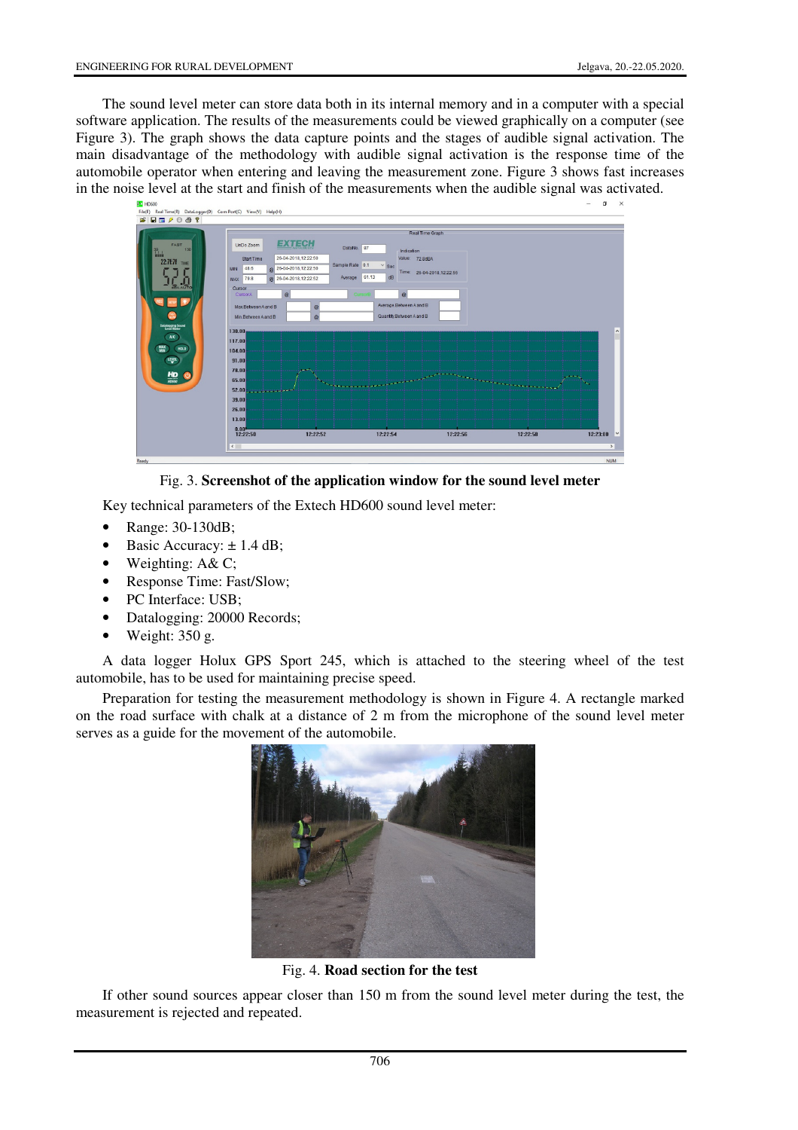The sound level meter can store data both in its internal memory and in a computer with a special software application. The results of the measurements could be viewed graphically on a computer (see Figure 3). The graph shows the data capture points and the stages of audible signal activation. The main disadvantage of the methodology with audible signal activation is the response time of the automobile operator when entering and leaving the measurement zone. Figure 3 shows fast increases in the noise level at the start and finish of the measurements when the audible signal was activated.



Fig. 3. **Screenshot of the application window for the sound level meter**

Key technical parameters of the Extech HD600 sound level meter:

- Range: 30-130dB;
- Basic Accuracy:  $\pm$  1.4 dB;
- Weighting: A& C;
- Response Time: Fast/Slow;
- PC Interface: USB;
- Datalogging: 20000 Records;
- Weight: 350 g.

A data logger Holux GPS Sport 245, which is attached to the steering wheel of the test automobile, has to be used for maintaining precise speed.

Preparation for testing the measurement methodology is shown in Figure 4. A rectangle marked on the road surface with chalk at a distance of 2 m from the microphone of the sound level meter serves as a guide for the movement of the automobile.



Fig. 4. **Road section for the test**

If other sound sources appear closer than 150 m from the sound level meter during the test, the measurement is rejected and repeated.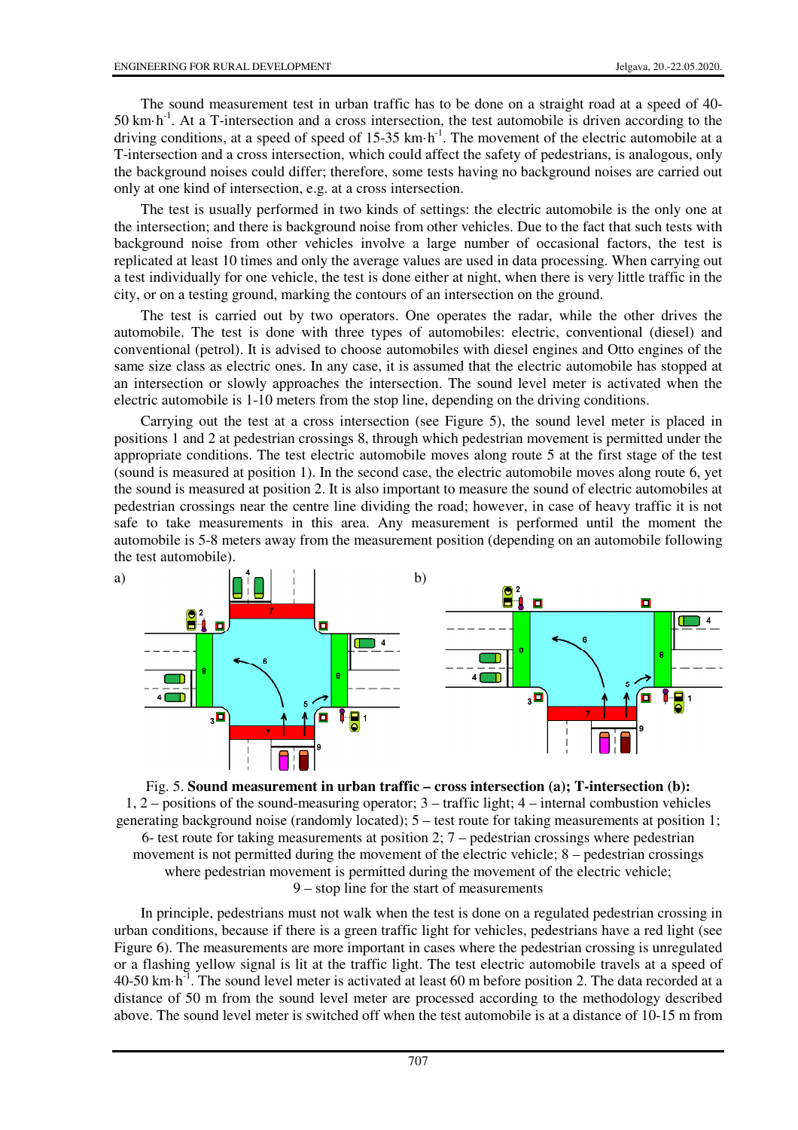The sound measurement test in urban traffic has to be done on a straight road at a speed of 40-  $50 \text{ km} \cdot \text{h}^{-1}$ . At a T-intersection and a cross intersection, the test automobile is driven according to the driving conditions, at a speed of speed of  $15-35$  km·h<sup>-1</sup>. The movement of the electric automobile at a T-intersection and a cross intersection, which could affect the safety of pedestrians, is analogous, only the background noises could differ; therefore, some tests having no background noises are carried out only at one kind of intersection, e.g. at a cross intersection.

The test is usually performed in two kinds of settings: the electric automobile is the only one at the intersection; and there is background noise from other vehicles. Due to the fact that such tests with background noise from other vehicles involve a large number of occasional factors, the test is replicated at least 10 times and only the average values are used in data processing. When carrying out a test individually for one vehicle, the test is done either at night, when there is very little traffic in the city, or on a testing ground, marking the contours of an intersection on the ground.

The test is carried out by two operators. One operates the radar, while the other drives the automobile. The test is done with three types of automobiles: electric, conventional (diesel) and conventional (petrol). It is advised to choose automobiles with diesel engines and Otto engines of the same size class as electric ones. In any case, it is assumed that the electric automobile has stopped at an intersection or slowly approaches the intersection. The sound level meter is activated when the electric automobile is 1-10 meters from the stop line, depending on the driving conditions.

Carrying out the test at a cross intersection (see Figure 5), the sound level meter is placed in positions 1 and 2 at pedestrian crossings 8, through which pedestrian movement is permitted under the appropriate conditions. The test electric automobile moves along route 5 at the first stage of the test (sound is measured at position 1). In the second case, the electric automobile moves along route 6, yet the sound is measured at position 2. It is also important to measure the sound of electric automobiles at pedestrian crossings near the centre line dividing the road; however, in case of heavy traffic it is not safe to take measurements in this area. Any measurement is performed until the moment the automobile is 5-8 meters away from the measurement position (depending on an automobile following the test automobile).



Fig. 5. **Sound measurement in urban traffic – cross intersection (a); T-intersection (b):** 1, 2 – positions of the sound-measuring operator; 3 – traffic light; 4 – internal combustion vehicles generating background noise (randomly located); 5 – test route for taking measurements at position 1; 6- test route for taking measurements at position 2; 7 – pedestrian crossings where pedestrian movement is not permitted during the movement of the electric vehicle; 8 – pedestrian crossings where pedestrian movement is permitted during the movement of the electric vehicle; 9 – stop line for the start of measurements

In principle, pedestrians must not walk when the test is done on a regulated pedestrian crossing in urban conditions, because if there is a green traffic light for vehicles, pedestrians have a red light (see Figure 6). The measurements are more important in cases where the pedestrian crossing is unregulated or a flashing yellow signal is lit at the traffic light. The test electric automobile travels at a speed of 40-50 km·h-1. The sound level meter is activated at least 60 m before position 2. The data recorded at a distance of 50 m from the sound level meter are processed according to the methodology described above. The sound level meter is switched off when the test automobile is at a distance of 10-15 m from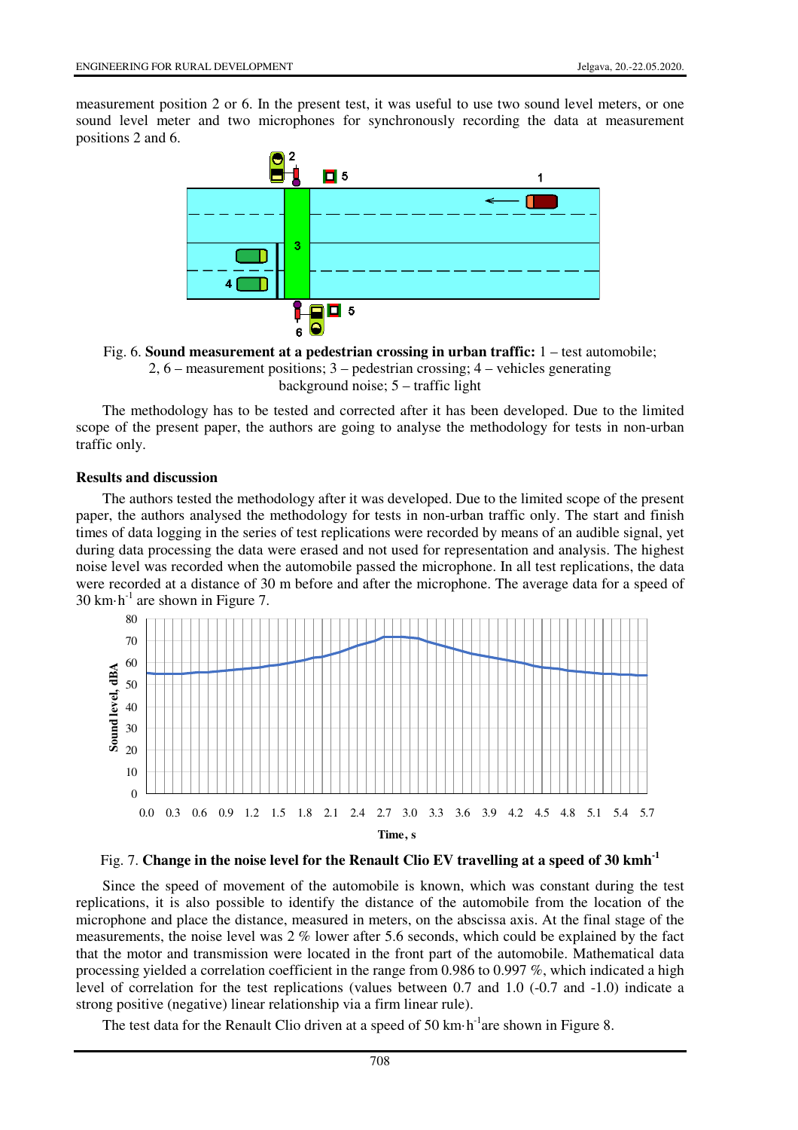measurement position 2 or 6. In the present test, it was useful to use two sound level meters, or one sound level meter and two microphones for synchronously recording the data at measurement positions 2 and 6.



Fig. 6. **Sound measurement at a pedestrian crossing in urban traffic:** 1 – test automobile; 2, 6 – measurement positions; 3 – pedestrian crossing; 4 – vehicles generating background noise; 5 – traffic light

The methodology has to be tested and corrected after it has been developed. Due to the limited scope of the present paper, the authors are going to analyse the methodology for tests in non-urban traffic only.

#### **Results and discussion**

The authors tested the methodology after it was developed. Due to the limited scope of the present paper, the authors analysed the methodology for tests in non-urban traffic only. The start and finish times of data logging in the series of test replications were recorded by means of an audible signal, yet during data processing the data were erased and not used for representation and analysis. The highest noise level was recorded when the automobile passed the microphone. In all test replications, the data were recorded at a distance of 30 m before and after the microphone. The average data for a speed of 30 km $\cdot$ h<sup>-1</sup> are shown in Figure 7.



## Fig. 7. **Change in the noise level for the Renault Clio EV travelling at a speed of 30 kmh-1**

Since the speed of movement of the automobile is known, which was constant during the test replications, it is also possible to identify the distance of the automobile from the location of the microphone and place the distance, measured in meters, on the abscissa axis. At the final stage of the measurements, the noise level was 2 % lower after 5.6 seconds, which could be explained by the fact that the motor and transmission were located in the front part of the automobile. Mathematical data processing yielded a correlation coefficient in the range from 0.986 to 0.997 %, which indicated a high level of correlation for the test replications (values between 0.7 and 1.0 (-0.7 and -1.0) indicate a strong positive (negative) linear relationship via a firm linear rule).

The test data for the Renault Clio driven at a speed of 50 km·h<sup>-1</sup>are shown in Figure 8.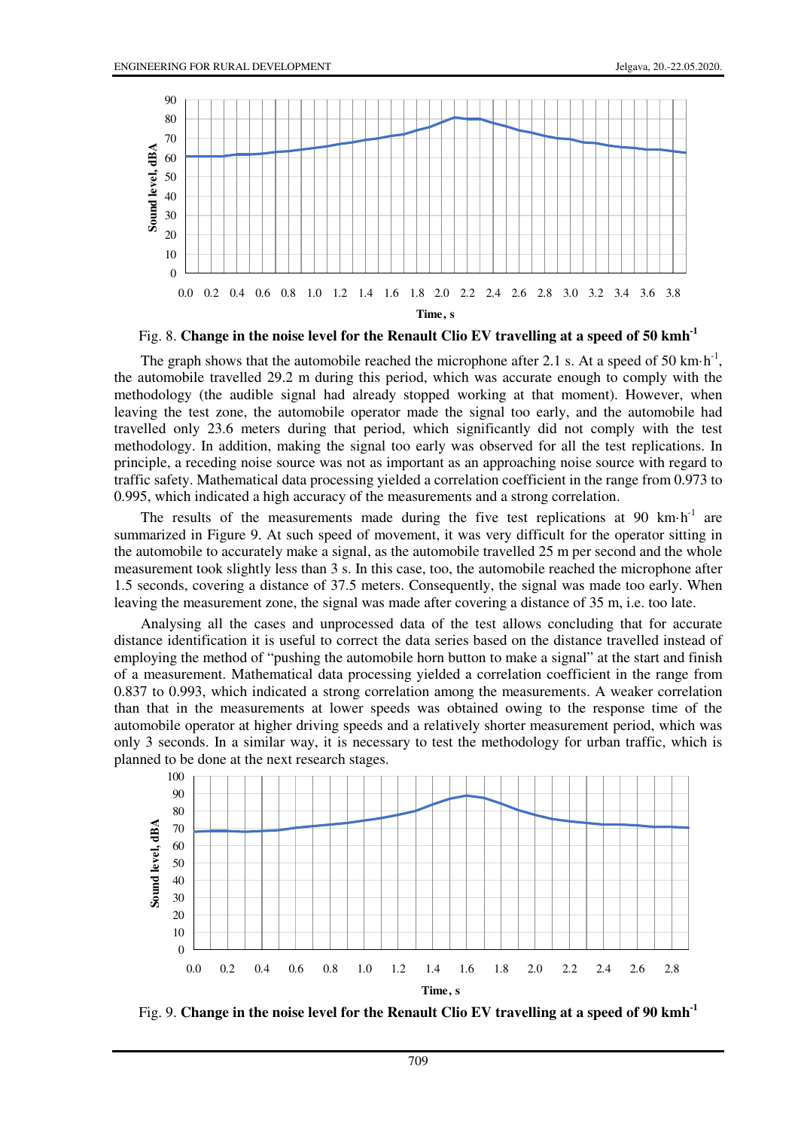

Fig. 8. **Change in the noise level for the Renault Clio EV travelling at a speed of 50 kmh-1**

The graph shows that the automobile reached the microphone after 2.1 s. At a speed of 50 km $\cdot$ h<sup>-1</sup>, the automobile travelled 29.2 m during this period, which was accurate enough to comply with the methodology (the audible signal had already stopped working at that moment). However, when leaving the test zone, the automobile operator made the signal too early, and the automobile had travelled only 23.6 meters during that period, which significantly did not comply with the test methodology. In addition, making the signal too early was observed for all the test replications. In principle, a receding noise source was not as important as an approaching noise source with regard to traffic safety. Mathematical data processing yielded a correlation coefficient in the range from 0.973 to 0.995, which indicated a high accuracy of the measurements and a strong correlation.

The results of the measurements made during the five test replications at 90  $km\cdot h^{-1}$  are summarized in Figure 9. At such speed of movement, it was very difficult for the operator sitting in the automobile to accurately make a signal, as the automobile travelled 25 m per second and the whole measurement took slightly less than 3 s. In this case, too, the automobile reached the microphone after 1.5 seconds, covering a distance of 37.5 meters. Consequently, the signal was made too early. When leaving the measurement zone, the signal was made after covering a distance of 35 m, i.e. too late.

Analysing all the cases and unprocessed data of the test allows concluding that for accurate distance identification it is useful to correct the data series based on the distance travelled instead of employing the method of "pushing the automobile horn button to make a signal" at the start and finish of a measurement. Mathematical data processing yielded a correlation coefficient in the range from 0.837 to 0.993, which indicated a strong correlation among the measurements. A weaker correlation than that in the measurements at lower speeds was obtained owing to the response time of the automobile operator at higher driving speeds and a relatively shorter measurement period, which was only 3 seconds. In a similar way, it is necessary to test the methodology for urban traffic, which is planned to be done at the next research stages.



Fig. 9. **Change in the noise level for the Renault Clio EV travelling at a speed of 90 kmh-1**